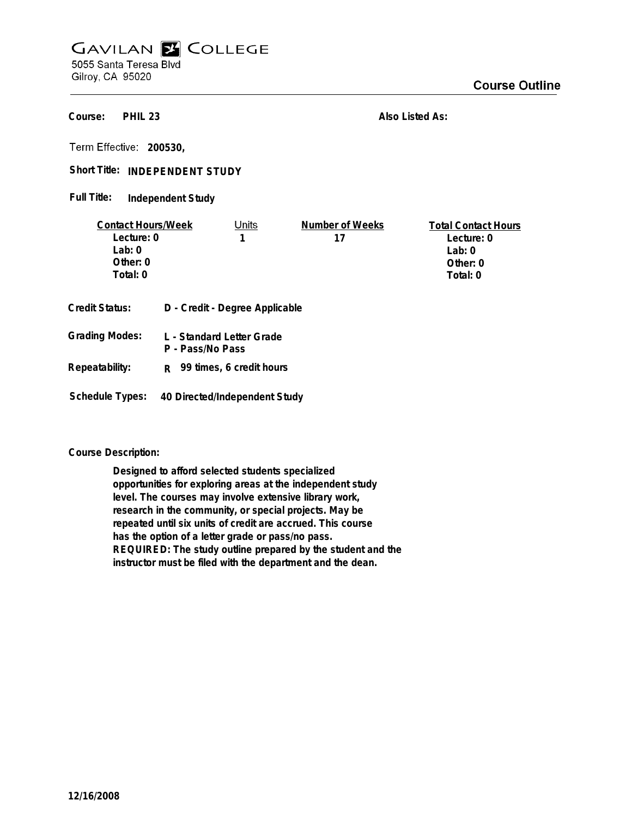## **GAVILAN E COLLEGE** 5055 Santa Teresa Blvd

Gilroy, CA 95020

**PHIL 23 Course:**

**Also Listed As:**

**200530,**

Short Title: INDEPENDENT STUDY

**Independent Study Full Title:**

| <b>Contact Hours/Week</b>                                 |                       | Units                                                                                   | Number of Weeks | <b>Total Contact Hours</b> |
|-----------------------------------------------------------|-----------------------|-----------------------------------------------------------------------------------------|-----------------|----------------------------|
| Lecture: 0                                                |                       |                                                                                         | 17              | Lecture: 0                 |
| Lab: $0$                                                  |                       |                                                                                         |                 | Lab: $0$                   |
| Other: $0$                                                |                       |                                                                                         |                 | Other: $0$                 |
| Total: 0                                                  |                       |                                                                                         |                 | Total: 0                   |
| Credit Status:<br><b>Grading Modes:</b><br>Repeatability: | P - Pass/No Pass<br>R | D - Credit - Degree Applicable<br>L - Standard Letter Grade<br>99 times, 6 credit hours |                 |                            |

**Schedule Types: 40 Directed/Independent Study**

**Course Description:**

**Designed to afford selected students specialized opportunities for exploring areas at the independent study level. The courses may involve extensive library work, research in the community, or special projects. May be repeated until six units of credit are accrued. This course has the option of a letter grade or pass/no pass. REQUIRED: The study outline prepared by the student and the instructor must be filed with the department and the dean.**